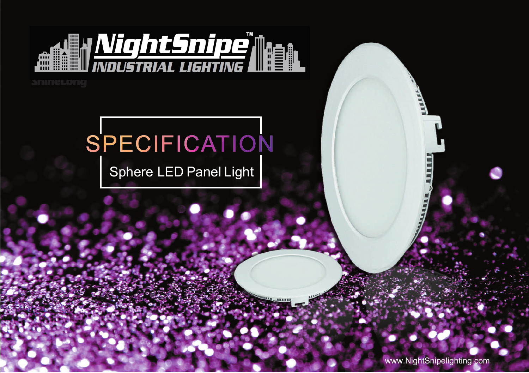

## **SnineLong**

# SPECIFICATION

Sphere LED Panel Light

www.NightSnipelighting.com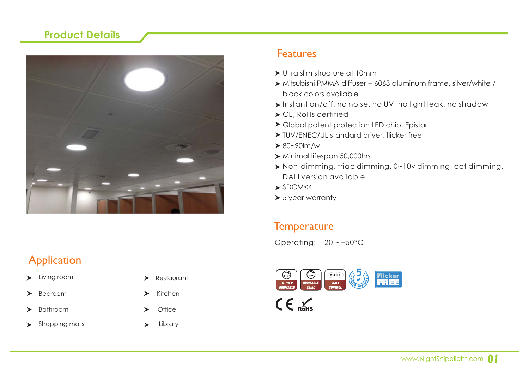#### **Product Details**



#### Features

- Ultra slim structure at 10mm
- Mitsubishi PMMA diffuser + 6063 aluminum frame, silver/white / black colors available
- Instant on/off, no noise, no UV, no light leak, no shadow
- CE, RoHs certified
- Global patent protection LED chip, Epistar
- ▶ TUV/ENEC/UL standard driver, flicker free
- $> 80 90$  m/w
- $\triangleright$  Minimal lifespan 50,000hrs
- Non-dimming, triac dimming, 0~10v dimming, cct dimming, DALI version available
- $\blacktriangleright$  SDCM<4

Copyright © 2010 - 2015 www.shinelongled.com

 $>$  5 year warranty

#### **Temperature**

Operating: -20 ~ +50°C



- > Living room > Restaurant
- ➤
- ➤
- Shopping malls **Access 20** Library  $\blacktriangleright$
- 
- $Bedroom$   $\rightarrow$  Kitchen
- Bathroom **>** Office
	-

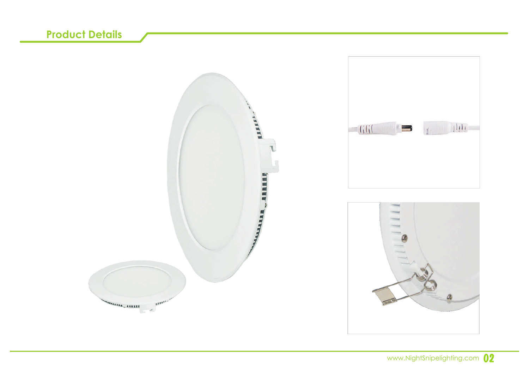## **Product Details**

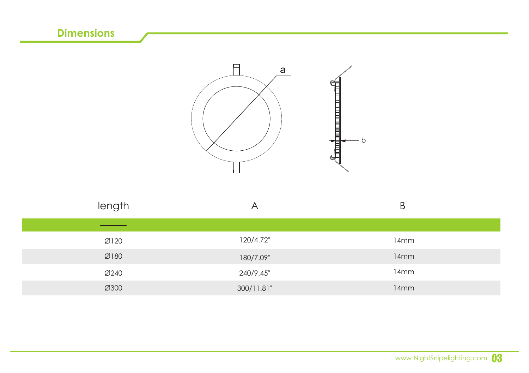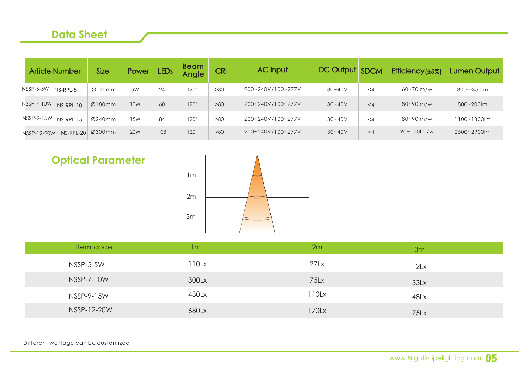#### **Data Sheet**

| <b>Article Number</b>     | <b>Size</b> | Power           | LED <sub>s</sub> | <b>Beam</b><br>Angle | <b>CRI</b> | <b>AC Input</b>   | DC Output SDCM |          | Efficiency (±5%) | Lumen Output    |
|---------------------------|-------------|-----------------|------------------|----------------------|------------|-------------------|----------------|----------|------------------|-----------------|
| NSSP-5-5W<br>$NS-RPI - 5$ | Ø120mm      | .5W             | 24               | 120°                 | >80        | 200~240V/100~277V | $30 - 40V$     | $\lt4$   | 60~70lm/w        | $300\sim350$ lm |
| NSSP-7-10W<br>$NS-RPI-10$ | Ø180mm      | 10 <sub>W</sub> | 60               | 120 <sup>o</sup>     | >80        | 200~240V/100~277V | $30 - 40V$     | $\leq 4$ | 80~90lm/w        | 800~900lm       |
| NSSP-9-15W<br>$NS-RPI-15$ | Ø240mm      | 1.5W            | 84               | 120°                 | >80        | 200~240V/100~277V | $30 - 40V$     | $\lt$ 4  | 80~90lm/w        | 1100~1300lm     |
| NS-RPL-20<br>NSSP-12-20W  | Ø300mm      | <b>20W</b>      | 108              | 120 <sup>o</sup>     | >80        | 200~240V/100~277V | $30 - 40V$     | $\leq 4$ | $90 - 100$ m/w   | 2600~2900lm     |

## **Optical Parameter**



| Item code   | 1m    | 2m       | 3m   |  |
|-------------|-------|----------|------|--|
| NSSP-5-5W   | 110Lx | 27Lx     | 12Lx |  |
| NSSP-7-10W  | 300Lx | 75Lx     | 33Lx |  |
| NSSP-9-15W  | 430Lx | $110$ Lx | 48Lx |  |
| NSSP-12-20W | 680Lx | 170Lx    | 75Lx |  |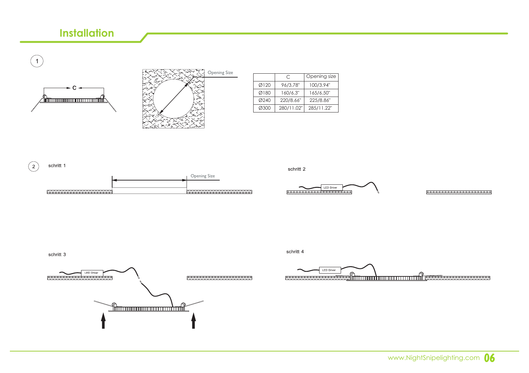#### **Installation**

 $\left( 1\right)$ 





|      | C          | Opening size |
|------|------------|--------------|
| Ø120 | 96/3.78"   | 100/3.94"    |
| Ø180 | 160/6.3"   | 165/6.50"    |
| Ø240 | 220/8.66"  | 225/8.86"    |
| Ø300 | 280/11.02" | 285/11.22"   |



schritt 2

schritt 4



**KXXXXXXXXXXXXXXXXXXXX** 

schritt 3



LED Driver